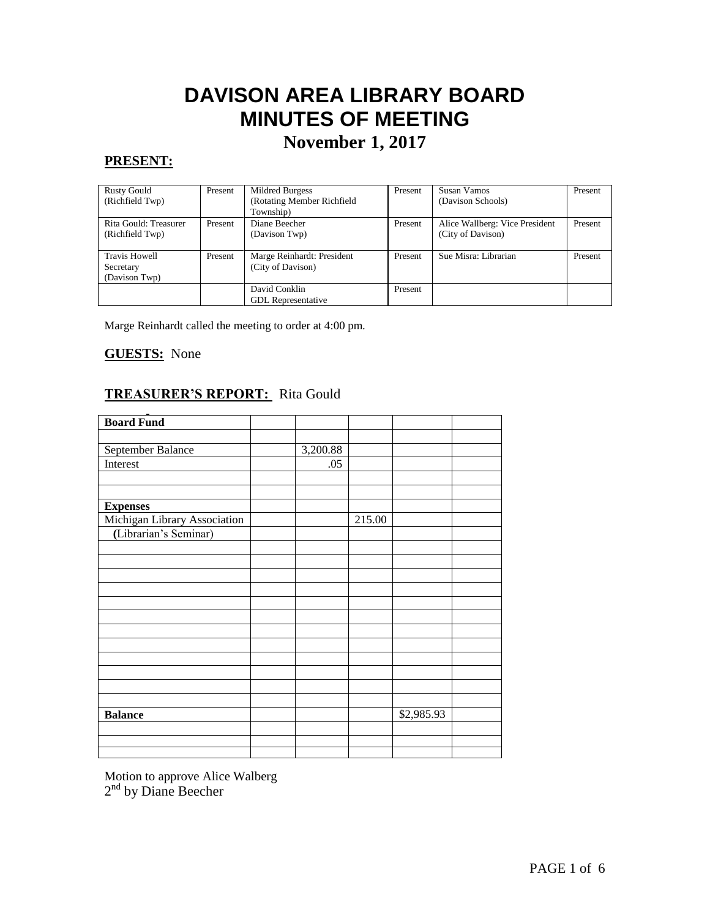# **DAVISON AREA LIBRARY BOARD MINUTES OF MEETING**

## **November 1, 2017**

#### **PRESENT:**

| <b>Rusty Gould</b><br>(Richfield Twp)              | Present | Mildred Burgess<br>(Rotating Member Richfield<br>Township) | Present | Susan Vamos<br>(Davison Schools)                    | Present |
|----------------------------------------------------|---------|------------------------------------------------------------|---------|-----------------------------------------------------|---------|
| Rita Gould: Treasurer<br>(Richfield Twp)           | Present | Diane Beecher<br>(Davison Twp)                             | Present | Alice Wallberg: Vice President<br>(City of Davison) | Present |
| <b>Travis Howell</b><br>Secretary<br>(Davison Twp) | Present | Marge Reinhardt: President<br>(City of Davison)            | Present | Sue Misra: Librarian                                | Present |
|                                                    |         | David Conklin<br><b>GDL</b> Representative                 | Present |                                                     |         |

Marge Reinhardt called the meeting to order at 4:00 pm.

#### **GUESTS:** None

#### **TREASURER'S REPORT:** Rita Gould

| <b>Board Fund</b>            |          |        |            |  |
|------------------------------|----------|--------|------------|--|
|                              |          |        |            |  |
| September Balance            | 3,200.88 |        |            |  |
| Interest                     | .05      |        |            |  |
|                              |          |        |            |  |
|                              |          |        |            |  |
| <b>Expenses</b>              |          |        |            |  |
| Michigan Library Association |          | 215.00 |            |  |
| (Librarian's Seminar)        |          |        |            |  |
|                              |          |        |            |  |
|                              |          |        |            |  |
|                              |          |        |            |  |
|                              |          |        |            |  |
|                              |          |        |            |  |
|                              |          |        |            |  |
|                              |          |        |            |  |
|                              |          |        |            |  |
|                              |          |        |            |  |
|                              |          |        |            |  |
|                              |          |        |            |  |
|                              |          |        |            |  |
| <b>Balance</b>               |          |        | \$2,985.93 |  |
|                              |          |        |            |  |
|                              |          |        |            |  |
|                              |          |        |            |  |

Motion to approve Alice Walberg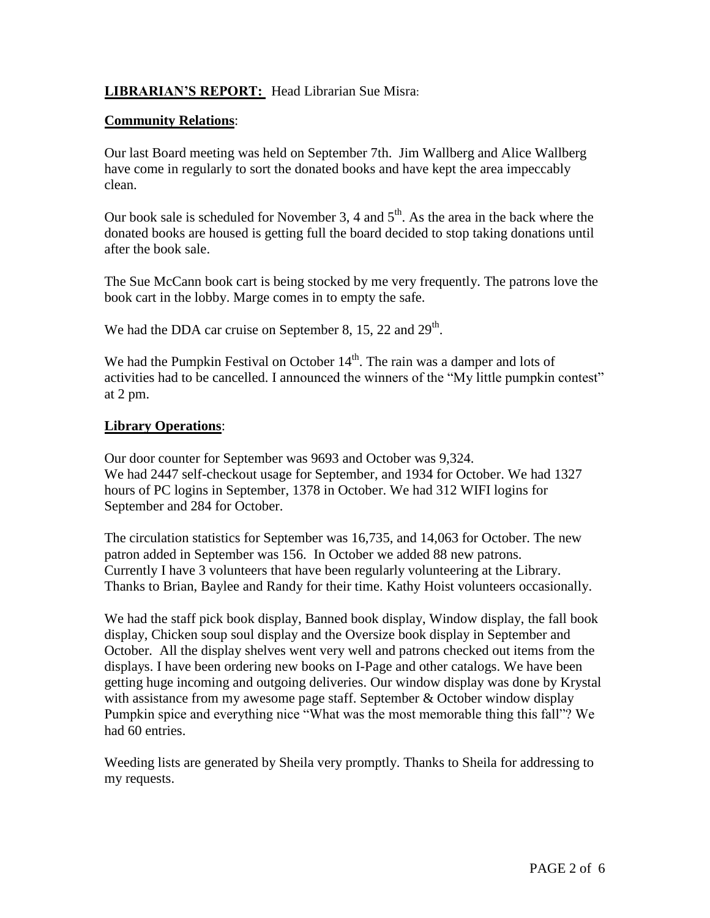#### **LIBRARIAN'S REPORT:** Head Librarian Sue Misra:

#### **Community Relations**:

Our last Board meeting was held on September 7th. Jim Wallberg and Alice Wallberg have come in regularly to sort the donated books and have kept the area impeccably clean.

Our book sale is scheduled for November 3, 4 and  $5<sup>th</sup>$ . As the area in the back where the donated books are housed is getting full the board decided to stop taking donations until after the book sale.

The Sue McCann book cart is being stocked by me very frequently. The patrons love the book cart in the lobby. Marge comes in to empty the safe.

We had the DDA car cruise on September 8, 15, 22 and  $29<sup>th</sup>$ .

We had the Pumpkin Festival on October  $14<sup>th</sup>$ . The rain was a damper and lots of activities had to be cancelled. I announced the winners of the "My little pumpkin contest" at 2 pm.

#### **Library Operations**:

Our door counter for September was 9693 and October was 9,324. We had 2447 self-checkout usage for September, and 1934 for October. We had 1327 hours of PC logins in September, 1378 in October. We had 312 WIFI logins for September and 284 for October.

The circulation statistics for September was 16,735, and 14,063 for October. The new patron added in September was 156. In October we added 88 new patrons. Currently I have 3 volunteers that have been regularly volunteering at the Library. Thanks to Brian, Baylee and Randy for their time. Kathy Hoist volunteers occasionally.

We had the staff pick book display, Banned book display, Window display, the fall book display, Chicken soup soul display and the Oversize book display in September and October. All the display shelves went very well and patrons checked out items from the displays. I have been ordering new books on I-Page and other catalogs. We have been getting huge incoming and outgoing deliveries. Our window display was done by Krystal with assistance from my awesome page staff. September & October window display Pumpkin spice and everything nice "What was the most memorable thing this fall"? We had 60 entries.

Weeding lists are generated by Sheila very promptly. Thanks to Sheila for addressing to my requests.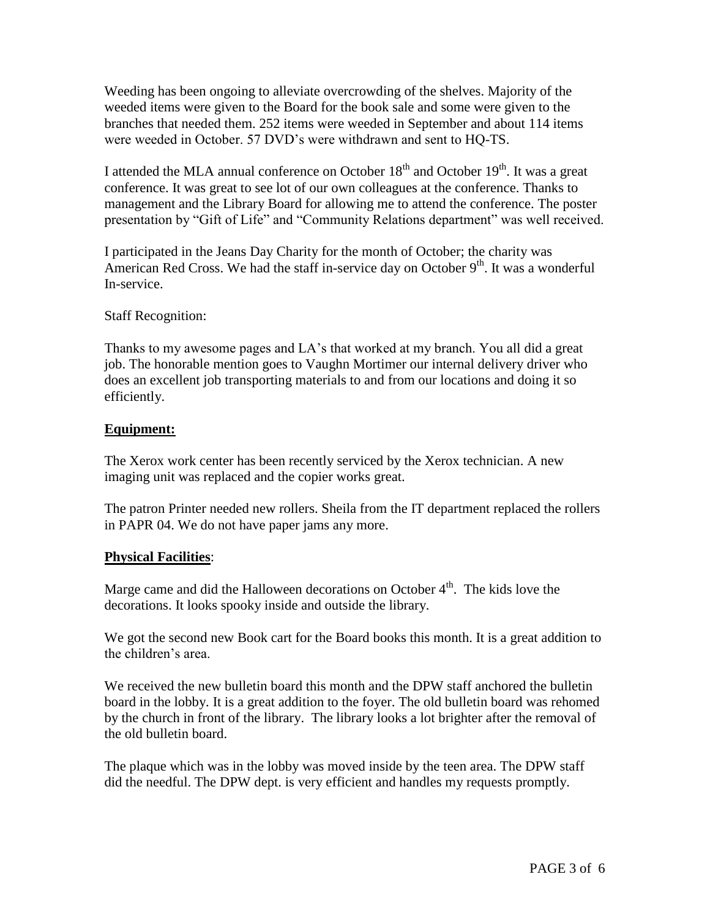Weeding has been ongoing to alleviate overcrowding of the shelves. Majority of the weeded items were given to the Board for the book sale and some were given to the branches that needed them. 252 items were weeded in September and about 114 items were weeded in October. 57 DVD's were withdrawn and sent to HQ-TS.

I attended the MLA annual conference on October 18<sup>th</sup> and October 19<sup>th</sup>. It was a great conference. It was great to see lot of our own colleagues at the conference. Thanks to management and the Library Board for allowing me to attend the conference. The poster presentation by "Gift of Life" and "Community Relations department" was well received.

I participated in the Jeans Day Charity for the month of October; the charity was American Red Cross. We had the staff in-service day on October 9<sup>th</sup>. It was a wonderful In-service.

Staff Recognition:

Thanks to my awesome pages and LA's that worked at my branch. You all did a great job. The honorable mention goes to Vaughn Mortimer our internal delivery driver who does an excellent job transporting materials to and from our locations and doing it so efficiently.

#### **Equipment:**

The Xerox work center has been recently serviced by the Xerox technician. A new imaging unit was replaced and the copier works great.

The patron Printer needed new rollers. Sheila from the IT department replaced the rollers in PAPR 04. We do not have paper jams any more.

#### **Physical Facilities**:

Marge came and did the Halloween decorations on October  $4<sup>th</sup>$ . The kids love the decorations. It looks spooky inside and outside the library.

We got the second new Book cart for the Board books this month. It is a great addition to the children's area.

We received the new bulletin board this month and the DPW staff anchored the bulletin board in the lobby. It is a great addition to the foyer. The old bulletin board was rehomed by the church in front of the library. The library looks a lot brighter after the removal of the old bulletin board.

The plaque which was in the lobby was moved inside by the teen area. The DPW staff did the needful. The DPW dept. is very efficient and handles my requests promptly.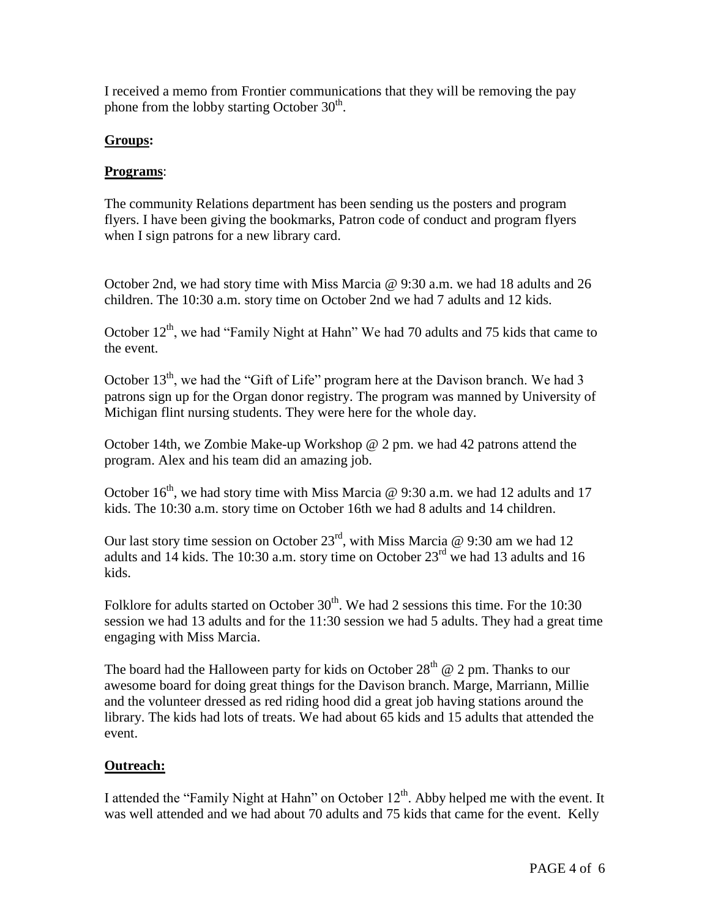I received a memo from Frontier communications that they will be removing the pay phone from the lobby starting October  $30<sup>th</sup>$ .

#### **Groups:**

#### **Programs**:

The community Relations department has been sending us the posters and program flyers. I have been giving the bookmarks, Patron code of conduct and program flyers when I sign patrons for a new library card.

October 2nd, we had story time with Miss Marcia @ 9:30 a.m. we had 18 adults and 26 children. The 10:30 a.m. story time on October 2nd we had 7 adults and 12 kids.

October  $12<sup>th</sup>$ , we had "Family Night at Hahn" We had 70 adults and 75 kids that came to the event.

October 13<sup>th</sup>, we had the "Gift of Life" program here at the Davison branch. We had 3 patrons sign up for the Organ donor registry. The program was manned by University of Michigan flint nursing students. They were here for the whole day.

October 14th, we Zombie Make-up Workshop @ 2 pm. we had 42 patrons attend the program. Alex and his team did an amazing job.

October  $16<sup>th</sup>$ , we had story time with Miss Marcia @ 9:30 a.m. we had 12 adults and 17 kids. The 10:30 a.m. story time on October 16th we had 8 adults and 14 children.

Our last story time session on October 23<sup>rd</sup>, with Miss Marcia  $\omega$  9:30 am we had 12 adults and 14 kids. The 10:30 a.m. story time on October  $23<sup>rd</sup>$  we had 13 adults and 16 kids.

Folklore for adults started on October  $30<sup>th</sup>$ . We had 2 sessions this time. For the 10:30 session we had 13 adults and for the 11:30 session we had 5 adults. They had a great time engaging with Miss Marcia.

The board had the Halloween party for kids on October  $28<sup>th</sup>$  @ 2 pm. Thanks to our awesome board for doing great things for the Davison branch. Marge, Marriann, Millie and the volunteer dressed as red riding hood did a great job having stations around the library. The kids had lots of treats. We had about 65 kids and 15 adults that attended the event.

#### **Outreach:**

I attended the "Family Night at Hahn" on October  $12<sup>th</sup>$ . Abby helped me with the event. It was well attended and we had about 70 adults and 75 kids that came for the event. Kelly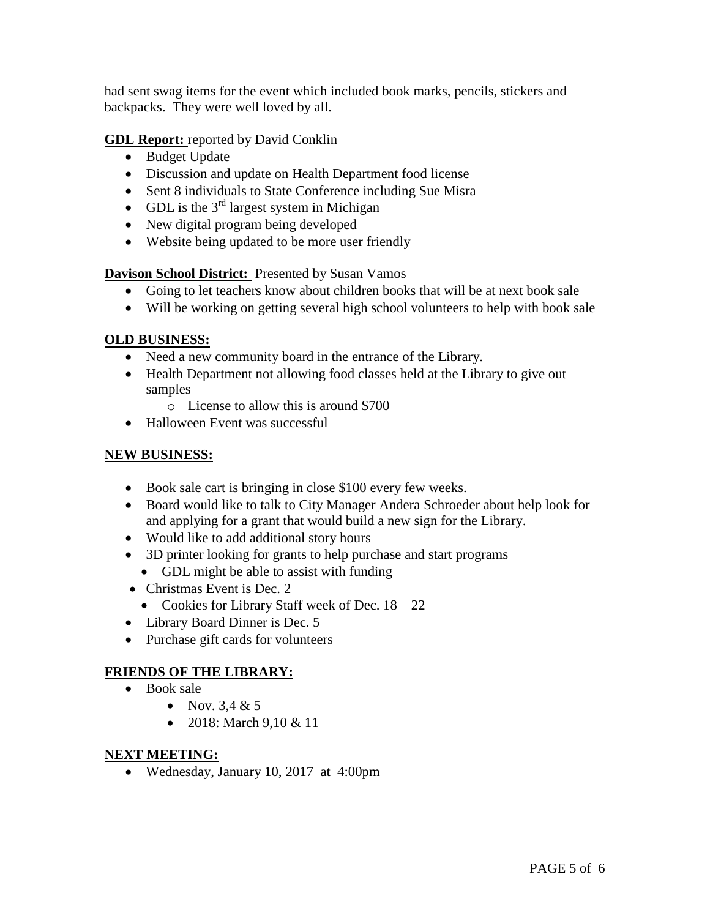had sent swag items for the event which included book marks, pencils, stickers and backpacks. They were well loved by all.

**GDL Report:** reported by David Conklin

- Budget Update
- Discussion and update on Health Department food license
- Sent 8 individuals to State Conference including Sue Misra
- GDL is the  $3<sup>rd</sup>$  largest system in Michigan
- New digital program being developed
- Website being updated to be more user friendly

**Davison School District:** Presented by Susan Vamos

- Going to let teachers know about children books that will be at next book sale
- Will be working on getting several high school volunteers to help with book sale

#### **OLD BUSINESS:**

- Need a new community board in the entrance of the Library.
- Health Department not allowing food classes held at the Library to give out samples
	- o License to allow this is around \$700
- Halloween Event was successful

#### **NEW BUSINESS:**

- Book sale cart is bringing in close \$100 every few weeks.
- Board would like to talk to City Manager Andera Schroeder about help look for and applying for a grant that would build a new sign for the Library.
- Would like to add additional story hours
- 3D printer looking for grants to help purchase and start programs
- GDL might be able to assist with funding
- Christmas Event is Dec. 2
	- Cookies for Library Staff week of Dec.  $18 22$
- Library Board Dinner is Dec. 5
- Purchase gift cards for volunteers

#### **FRIENDS OF THE LIBRARY:**

- Book sale
	- Nov.  $3.4 & 5$
	- 2018: March  $9.10 \& 11$

#### **NEXT MEETING:**

Wednesday, January 10, 2017 at 4:00pm